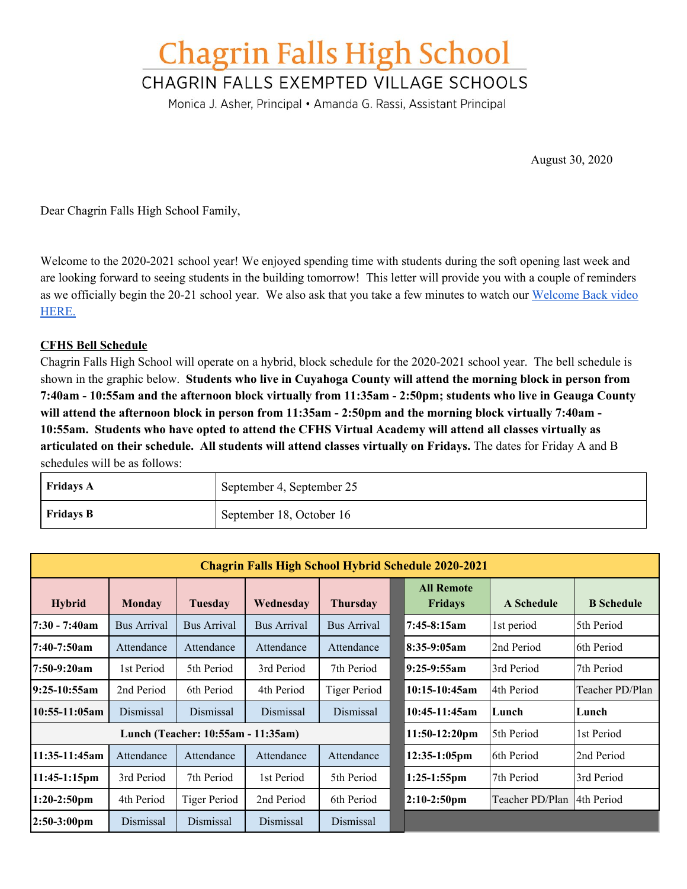# **Chagrin Falls High School**

# CHAGRIN FALLS EXEMPTED VILLAGE SCHOOLS

Monica J. Asher, Principal • Amanda G. Rassi, Assistant Principal

August 30, 2020

Dear Chagrin Falls High School Family,

Welcome to the 2020-2021 school year! We enjoyed spending time with students during the soft opening last week and are looking forward to seeing students in the building tomorrow! This letter will provide you with a couple of reminders as we officially begin the 20-21 school year. We also ask that you take a few minutes to watch our [Welcome](https://drive.google.com/file/d/1JuVuMhVj0u8WKpqm4Gwe1t8nHzhlquK7/view?usp=sharing) Back video [HERE.](https://drive.google.com/file/d/1JuVuMhVj0u8WKpqm4Gwe1t8nHzhlquK7/view?usp=sharing)

# **CFHS Bell Schedule**

Chagrin Falls High School will operate on a hybrid, block schedule for the 2020-2021 school year. The bell schedule is shown in the graphic below. **Students who live in Cuyahoga County will attend the morning block in person from** 7:40am - 10:55am and the afternoon block virtually from 11:35am - 2:50pm; students who live in Geauga County will attend the afternoon block in person from 11:35am - 2:50pm and the morning block virtually 7:40am -**10:55am. Students who have opted to attend the CFHS Virtual Academy will attend all classes virtually as articulated on their schedule. All students will attend classes virtually on Fridays.** The dates for Friday A and B schedules will be as follows:

| <b>Fridays A</b> | September 4, September 25 |
|------------------|---------------------------|
| <b>Fridays B</b> | September 18, October 16  |

| <b>Chagrin Falls High School Hybrid Schedule 2020-2021</b> |                    |                     |                    |                     |  |                                     |                 |                   |  |  |
|------------------------------------------------------------|--------------------|---------------------|--------------------|---------------------|--|-------------------------------------|-----------------|-------------------|--|--|
| <b>Hybrid</b>                                              | <b>Monday</b>      | Tuesday             | Wednesday          | <b>Thursday</b>     |  | <b>All Remote</b><br><b>Fridays</b> | A Schedule      | <b>B</b> Schedule |  |  |
| 7:30 - 7:40am                                              | <b>Bus Arrival</b> | <b>Bus Arrival</b>  | <b>Bus Arrival</b> | <b>Bus Arrival</b>  |  | $7:45-8:15am$                       | 1st period      | 5th Period        |  |  |
| $7:40-7:50am$                                              | Attendance         | Attendance          | Attendance         | Attendance          |  | $8:35-9:05am$                       | 2nd Period      | 6th Period        |  |  |
| $7:50-9:20am$                                              | 1st Period         | 5th Period          | 3rd Period         | 7th Period          |  | $9:25-9:55am$                       | 3rd Period      | 7th Period        |  |  |
| 19:25-10:55am                                              | 2nd Period         | 6th Period          | 4th Period         | <b>Tiger Period</b> |  | 10:15-10:45am                       | 4th Period      | Teacher PD/Plan   |  |  |
| 10:55-11:05am                                              | Dismissal          | Dismissal           | Dismissal          | Dismissal           |  | 10:45-11:45am                       | Lunch           | Lunch             |  |  |
| Lunch (Teacher: 10:55am - 11:35am)                         |                    |                     |                    |                     |  | 11:50-12:20pm                       | 5th Period      | 1st Period        |  |  |
| 11:35-11:45am                                              | Attendance         | Attendance          | Attendance         | Attendance          |  | 12:35-1:05pm                        | 6th Period      | 2nd Period        |  |  |
| $11:45-1:15$ pm                                            | 3rd Period         | 7th Period          | 1st Period         | 5th Period          |  | $1:25-1:55$ pm                      | 7th Period      | 3rd Period        |  |  |
| $1:20-2:50$ pm                                             | 4th Period         | <b>Tiger Period</b> | 2nd Period         | 6th Period          |  | $2:10-2:50$ pm                      | Teacher PD/Plan | 4th Period        |  |  |
| $2:50-3:00 \text{pm}$                                      | Dismissal          | Dismissal           | Dismissal          | Dismissal           |  |                                     |                 |                   |  |  |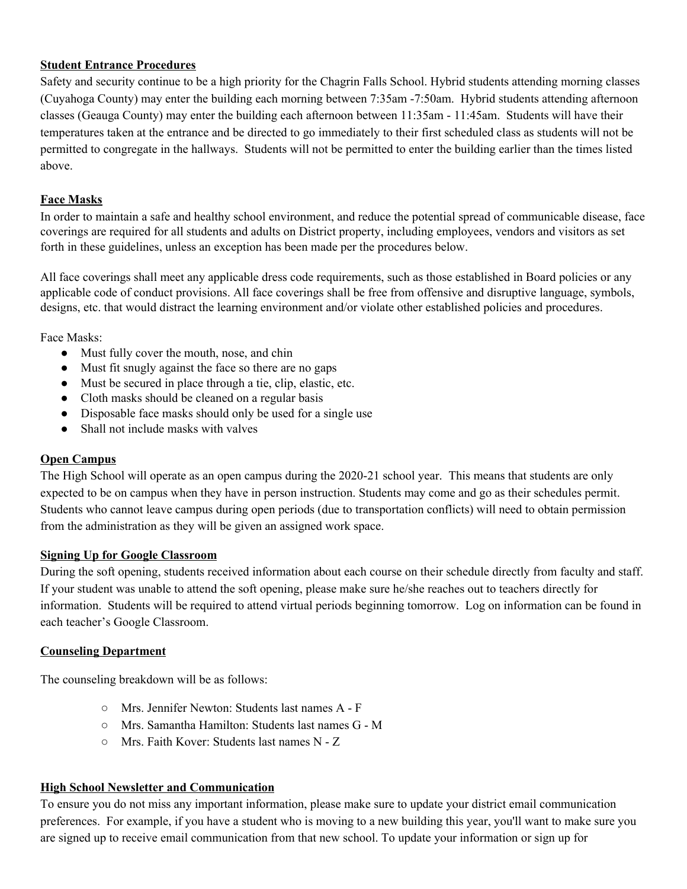# **Student Entrance Procedures**

Safety and security continue to be a high priority for the Chagrin Falls School. Hybrid students attending morning classes (Cuyahoga County) may enter the building each morning between 7:35am -7:50am. Hybrid students attending afternoon classes (Geauga County) may enter the building each afternoon between 11:35am - 11:45am. Students will have their temperatures taken at the entrance and be directed to go immediately to their first scheduled class as students will not be permitted to congregate in the hallways. Students will not be permitted to enter the building earlier than the times listed above.

# **Face Masks**

In order to maintain a safe and healthy school environment, and reduce the potential spread of communicable disease, face coverings are required for all students and adults on District property, including employees, vendors and visitors as set forth in these guidelines, unless an exception has been made per the procedures below.

All face coverings shall meet any applicable dress code requirements, such as those established in Board policies or any applicable code of conduct provisions. All face coverings shall be free from offensive and disruptive language, symbols, designs, etc. that would distract the learning environment and/or violate other established policies and procedures.

Face Masks:

- Must fully cover the mouth, nose, and chin
- Must fit snugly against the face so there are no gaps
- Must be secured in place through a tie, clip, elastic, etc.
- Cloth masks should be cleaned on a regular basis
- Disposable face masks should only be used for a single use
- Shall not include masks with valves

### **Open Campus**

The High School will operate as an open campus during the 2020-21 school year. This means that students are only expected to be on campus when they have in person instruction. Students may come and go as their schedules permit. Students who cannot leave campus during open periods (due to transportation conflicts) will need to obtain permission from the administration as they will be given an assigned work space.

### **Signing Up for Google Classroom**

During the soft opening, students received information about each course on their schedule directly from faculty and staff. If your student was unable to attend the soft opening, please make sure he/she reaches out to teachers directly for information. Students will be required to attend virtual periods beginning tomorrow. Log on information can be found in each teacher's Google Classroom.

### **Counseling Department**

The counseling breakdown will be as follows:

- Mrs. Jennifer Newton: Students last names A F
- Mrs. Samantha Hamilton: Students last names G M
- Mrs. Faith Kover: Students last names N Z

### **High School Newsletter and Communication**

To ensure you do not miss any important information, please make sure to update your district email communication preferences. For example, if you have a student who is moving to a new building this year, you'll want to make sure you are signed up to receive email communication from that new school. To update your information or sign up for